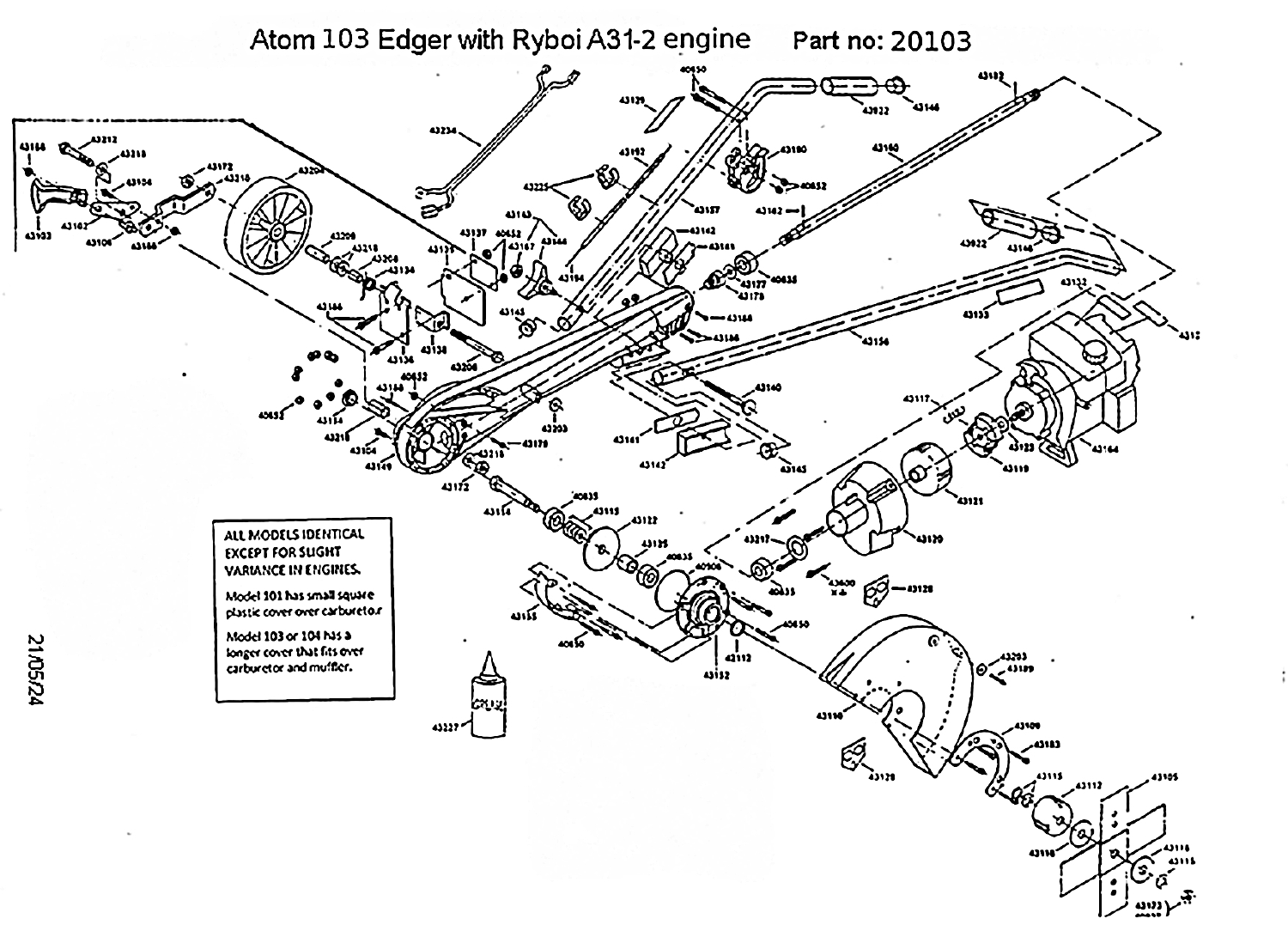